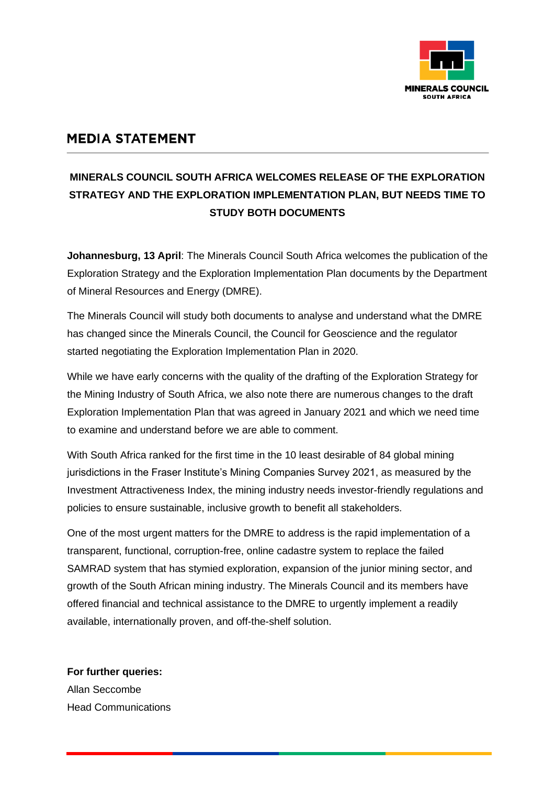

## **MEDIA STATEMENT**

## **MINERALS COUNCIL SOUTH AFRICA WELCOMES RELEASE OF THE EXPLORATION STRATEGY AND THE EXPLORATION IMPLEMENTATION PLAN, BUT NEEDS TIME TO STUDY BOTH DOCUMENTS**

**Johannesburg, 13 April**: The Minerals Council South Africa welcomes the publication of the Exploration Strategy and the Exploration Implementation Plan documents by the Department of Mineral Resources and Energy (DMRE).

The Minerals Council will study both documents to analyse and understand what the DMRE has changed since the Minerals Council, the Council for Geoscience and the regulator started negotiating the Exploration Implementation Plan in 2020.

While we have early concerns with the quality of the drafting of the Exploration Strategy for the Mining Industry of South Africa, we also note there are numerous changes to the draft Exploration Implementation Plan that was agreed in January 2021 and which we need time to examine and understand before we are able to comment.

With South Africa ranked for the first time in the 10 least desirable of 84 global mining jurisdictions in the Fraser Institute's Mining Companies Survey 2021, as measured by the Investment Attractiveness Index, the mining industry needs investor-friendly regulations and policies to ensure sustainable, inclusive growth to benefit all stakeholders.

One of the most urgent matters for the DMRE to address is the rapid implementation of a transparent, functional, corruption-free, online cadastre system to replace the failed SAMRAD system that has stymied exploration, expansion of the junior mining sector, and growth of the South African mining industry. The Minerals Council and its members have offered financial and technical assistance to the DMRE to urgently implement a readily available, internationally proven, and off-the-shelf solution.

**For further queries:** Allan Seccombe Head Communications